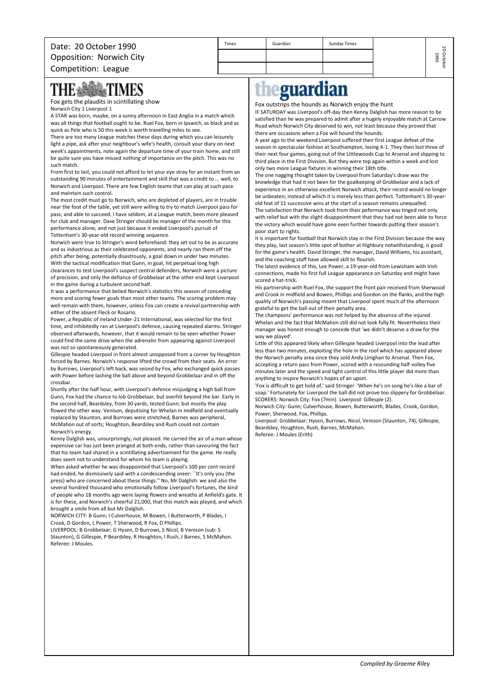Fox gets the plaudits in scintillating show Norwich City 1 Liverpool 1

A STAR was born, maybe, on a sunny afternoon in East Anglia in a match which was all things that football ought to be. Ruel Fox, born in Ipswich, as black and as quick as Pele who is 50 this week is worth travelling miles to see.

There are too many League matches these days during which you can leisurely light a pipe, ask after your neighbour's wife's health, consult your diary on next week's appointments, note again the departure time of your train home, and still be quite sure you have missed nothing of importance on the pitch. This was no such match.

From first to last, you could not afford to let your eye stray for an instant from an outstanding 90 minutes of entertainment and skill that was a credit to ... well, to Norwich and Liverpool. There are few English teams that can play at such pace and maintain such control.

The most credit must go to Norwich, who are depleted of players, are in trouble near the foot of the table, yet still were willing to try to match Liverpool pass for pass; and able to succeed. I have seldom, at a League match, been more pleased for club and manager. Dave Stringer should be manager of the month for this performance alone, and not just because it ended Liverpool's pursuit of Tottenham's 30-year-old record winning sequence.

Norwich were true to Stringer's word beforehand: they set out to be as accurate and as industrious as their celebrated opponents, and nearly ran them off the pitch after being, potentially disastrously, a goal down in under two minutes. With the tactical modification that Gunn, in goal, hit perpetual long high clearances to test Liverpool's suspect central defenders, Norwich were a picture of precision, and only the defiance of Grobbelaar at the other end kept Liverpool in the game during a turbulent second half.

It was a performance that belied Norwich's statistics this season of conceding more and scoring fewer goals than most other teams. The scoring problem may well remain with them, however, unless Fox can create a revival partnership with either of the absent Fleck or Rosario.

Power, a Republic of Ireland Under-21 International, was selected for the first time, and inhibitedly ran at Liverpool's defence, causing repeated alarms. Stringer observed afterwards, however, that it would remain to be seen whether Power could find the same drive when the adrenalin from appearing against Liverpool was not so spontaneously generated.

Gillespie headed Liverpool in front almost unopposed from a corner by Houghton forced by Barnes. Norwich's response lifted the crowd from their seats. An error by Burrows, Liverpool's left back, was seized by Fox, who exchanged quick passes with Power before lashing the ball above and beyond Grobbelaar and in off the crossbar.

Shortly after the half hour, with Liverpool's defence misjudging a high ball from Gunn, Fox had the chance to lob Grobbelaar, but overhit beyond the bar. Early in the second half, Beardsley, from 30 yards, tested Gunn; but mostly the play flowed the other way. Venison, deputising for Whelan in midfield and eventually replaced by Staunton, and Burrows were stretched, Barnes was peripheral, McMahon out of sorts; Houghton, Beardsley and Rush could not contain Norwich's energy.

Kenny Dalglish was, unsurprisingly, not pleased. He carried the air of a man whose expensive car has just been pranged at both ends, rather than savouring the fact that his team had shared in a scintillating advertisement for the game. He really does seem not to understand for whom his team is playing.

When asked whether he was disappointed that Liverpool's 100 per cent record had ended, he dismissively said with a condescending sneer: ``It's only you (the press) who are concerned about these things.'' No, Mr Dalglish: we and also the several hundred thousand who emotionally follow Liverpool's fortunes, the kind of people who 18 months ago were laying flowers and wreaths at Anfield's gate. It is for these, and Norwich's cheerful 21,000, that this match was played, and which brought a smile from all but Mr Dalglish.

NORWICH CITY: B Gunn; I Culverhouse, M Bowen, I Butterworth, P Blades, I Crook, D Gordon, L Power, T Sherwood, R Fox, D Phillips.

LIVERPOOL: B Grobbelaar; G Hysen, D Burrows, S Nicol, B Venison (sub: S Staunton), G Gillespie, P Beardsley, R Houghton, I Rush, J Barnes, S McMahon. Referee: J Moules.

## eguardian th

Times Cuardian I Sunday Times

Fox outstrips the hounds as Norwich enjoy the hunt

IF SATURDAY was Liverpool's off-day then Kenny Dalglish has more reason to be satisfied than he was prepared to admit after a hugely enjoyable match at Carrow Road which Norwich City deserved to win, not least because they proved that there are occasions when a Fox will hound the hounds.

A year ago to the weekend Liverpool suffered their first League defeat of the season in spectacular fashion at Southampton, losing 4-1. They then lost three of their next four games, going out of the Littlewoods Cup to Arsenal and slipping to third place in the First Division. But they were top again within a week and lost only two more League fixtures in winning their 18th title.

The one nagging thought taken by Liverpool from Saturday's draw was the knowledge that had it not been for the goalkeeping of Grobbelaar and a lack of experience in an otherwise excellent Norwich attack, their record would no longer be unbeaten; instead of which it is merely less than perfect. Tottenham's 30-yearold feat of 11 successive wins at the start of a season remains unequalled.

The satisfaction that Norwich took from their peformance was tinged not only with relief but with the slight disappointment that they had not been able to force the victory which would have gone even further towards putting their season's poor start to rights.

It is important for football that Norwich stay in the First Division because the way they play, last season's little spot of bother at Highbury notwithstanding, is good for the game's health. David Stringer, the manager, David Williams, his assistant, and the coaching staff have allowed skill to flourish.

The latest evidence of this, Lee Power, a 19-year-old from Lewisham with Irish connections, made his first full League appearance on Saturday and might have scored a hat-trick.

His partnership with Ruel Fox, the support the front pair received from Sherwood and Crook in midfield and Bowen, Phillips and Gordon on the flanks, and the high quality of Norwich's passing meant that Liverpool spent much of the afternoon grateful to get the ball out of their penalty area.

The champions' performance was not helped by the absence of the injured Whelan and the fact that McMahon still did not look fully fit. Nevertheless their manager was honest enough to concede that 'we didn't deserve a draw for the way we played'.

Little of this appeared likely when Gillespie headed Liverpool into the lead after less than two minutes, exploiting the hole in the roof which has appeared above the Norwich penalty area since they sold Andy Linighan to Arsenal. Then Fox, accepting a return pass from Power, scored with a resounding half-volley five minutes later and the speed and tight control of this little player did more than anything to inspire Norwich's hopes of an upset.

'Fox is difficult to get hold of,' said Stringer. 'When he's on song he's like a bar of soap.' Fortunately for Liverpool the ball did not prove too slippery for Grobbelaar. SCORERS: Norwich City: Fox (7min). Liverpool: Gillespie (2).

Norwich City: Gunn; Culverhouse, Bowen, Butterworth, Blades, Crook, Gordon, Power, Sherwood, Fox, Phillips.

Liverpool: Grobbelaar; Hysen, Burrows, Nicol, Venison (Staunton, 74), Gillespie, Beardsley, Houghton, Rush, Barnes, McMahon. Referee: J Moules (Erith)

20 October

1990